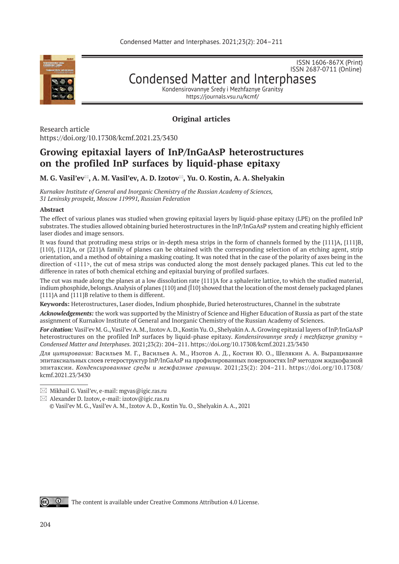

ISSN 1606-867Х (Print) ISSN 2687-0711 (Online)

Condensed Matter and Interphases

Kondensirovannye Sredy i Mezhfaznye Granitsy https://journals.vsu.ru/kcmf/

# **Original articles**

Research article https://doi.org/10.17308/kcmf.2021.23/3430

# **Growing epitaxial layers of InP/InGaAsP heterostructures on the profiled InP surfaces by liquid-phase epitaxy**

**M. G. Vasil'ev, A. M. Vasil'ev, A. D. Izotov, Yu. O. Kostin, A. A. Shelyakin\***

*Kurnakov Institute of General and Inorganic Chemistry of the Russian Academy of Sciences, 31 Leninsky prospekt, Moscow 119991, Russian Federation* 

### **Abstract**

The effect of various planes was studied when growing epitaxial layers by liquid-phase epitaxy (LPE) on the profiled InP substrates. The studies allowed obtaining buried heterostructures in the InP/InGaAsP system and creating highly efficient laser diodes and image sensors.

It was found that protruding mesa strips or in-depth mesa strips in the form of channels formed by the {111}А, {111}B, {110}, {112}A, or {221}A family of planes can be obtained with the corresponding selection of an etching agent, strip orientation, and a method of obtaining a masking coating. It was noted that in the case of the polarity of axes being in the direction of <111>, the cut of mesa strips was conducted along the most densely packaged planes. This cut led to the difference in rates of both chemical etching and epitaxial burying of profiled surfaces.

The cut was made along the planes at a low dissolution rate {111}A for a sphalerite lattice, to which the studied material, indium phosphide, belongs. Analysis of planes {110} and {Ī10} showed that the location of the most densely packaged planes {111}A and {111}B relative to them is different.

**Keywords:** Heterostructures, Laser diodes, Indium phosphide, Buried heterostructures, Channel in the substrate

*Acknowledgements:* the work was supported by the Ministry of Science and Higher Education of Russia as part of the state assignment of Kurnakov Institute of General and Inorganic Chemistry of the Russian Academy of Sciences.

*For citation:* Vasil'ev M. G., Vasil'ev A. M., Izotov A. D., Kostin Yu. O., Shelyakin A. A. Growing epitaxial layers of InP/InGaAsP heterostructures on the profiled InP surfaces by liquid-phase epitaxy. *Kondensirovannye sredy i mezhfaznye granitsy = Condensed Matter and Interphases.* 2021;23(2): 204–211. https://doi.org/10.17308/kcmf.2021.23/3430

*Для цитирования:* Васильев М. Г., Васильев А. М., Изотов А. Д., Костин Ю. О., Шелякин А. А. Выращивание эпитаксиальных слоев гетероструктур InP/InGaAsP на профилированных поверхностях InP методом жидкофазной эпитаксии. *Конденсированные среды и межфазные границы*. 2021;23(2): 204–211. https://doi.org/10.17308/ kcmf.2021.23/3430

 $\omega$   $\omega$ 

 $\boxtimes$  Mikhail G. Vasil'ev, e-mail: mgvas@igic.ras.ru

 $\boxtimes$  Alexander D. Izotov, e-mail: izotov@igic.ras.ru © Vasil'ev M. G., Vasil'ev A. M., Izotov A. D., Kostin Yu. O., Shelyakin A. A., 2021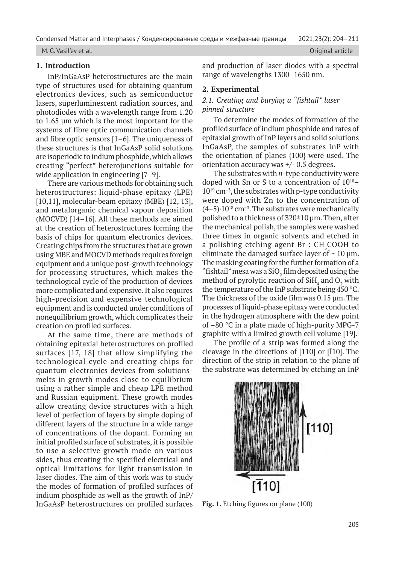M. G. Vasil'ev et al. Original article

## **1. Introduction**

InP/InGaAsP heterostructures are the main type of structures used for obtaining quantum electronics devices, such as semiconductor lasers, superluminescent radiation sources, and photodiodes with a wavelength range from 1.20 to 1.65 µm which is the most important for the systems of fibre optic communication channels and fibre optic sensors [1–6]. The uniqueness of these structures is that InGaAsP solid solutions are isoperiodic to indium phosphide, which allows creating "perfect" heterojunctions suitable for wide application in engineering [7–9].

There are various methods for obtaining such heterostructures: liquid-phase epitaxy (LPE) [10,11], molecular-beam epitaxy (MBE) [12, 13], and metalorganic chemical vapour deposition (MOCVD) [14–16]. All these methods are aimed at the creation of heterostructures forming the basis of chips for quantum electronics devices. Creating chips from the structures that are grown using MBE and MOCVD methods requires foreign equipment and a unique post-growth technology for processing structures, which makes the technological cycle of the production of devices more complicated and expensive. It also requires high-precision and expensive technological equipment and is conducted under conditions of nonequilibrium growth, which complicates their creation on profiled surfaces.

At the same time, there are methods of obtaining epitaxial heterostructures on profiled surfaces [17, 18] that allow simplifying the technological cycle and creating chips for quantum electronics devices from solutionsmelts in growth modes close to equilibrium using a rather simple and cheap LPE method and Russian equipment. These growth modes allow creating device structures with a high level of perfection of layers by simple doping of different layers of the structure in a wide range of concentrations of the dopant. Forming an initial profiled surface of substrates, it is possible to use a selective growth mode on various sides, thus creating the specified electrical and optical limitations for light transmission in laser diodes. The aim of this work was to study the modes of formation of profiled surfaces of indium phosphide as well as the growth of InP/ InGaAsP heterostructures on profiled surfaces and production of laser diodes with a spectral range of wavelengths 1300–1650 nm.

## **2. Experimental**

# *2.1. Creating and burying a "fishtail" laser pinned structure*

To determine the modes of formation of the profiled surface of indium phosphide and rates of epitaxial growth of InP layers and solid solutions InGaAsP, the samples of substrates InP with the orientation of planes {100} were used. The orientation accuracy was +/- 0.5 degrees.

The substrates with *n*-type conductivity were doped with Sn or S to a concentration of 1018–  $10^{19}$  cm<sup>-3</sup>, the substrates with p-type conductivity were doped with Zn to the concentration of  $(4-5) \cdot 10^{18}$  cm<sup>-3</sup>. The substrates were mechanically polished to a thickness of  $320\pm10$  µm. Then, after the mechanical polish, the samples were washed three times in organic solvents and etched in a polishing etching agent  $\texttt{Br}:\textmd{CH}_{_{3}}\textmd{COOH}$  to eliminate the damaged surface layer of  $\sim 10 \text{ }\mu\text{m}$ . The masking coating for the further formation of a "fishtail" mesa was a SiO<sub>2</sub> film deposited using the method of pyrolytic reaction of Si $\rm H_4$  and  $\rm O_2$  with the temperature of the InP substrate being 450 °C. The thickness of the oxide film was 0.15 µm. The processes of liquid-phase epitaxy were conducted in the hydrogen atmosphere with the dew point of –80 °C in a plate made of high-purity MPG-7 graphite with a limited growth cell volume [19].

The profile of a strip was formed along the cleavage in the directions of  $[110]$  or  $[110]$ . The direction of the strip in relation to the plane of the substrate was determined by etching an InP



**Fig. 1.** Etching figures on plane (100)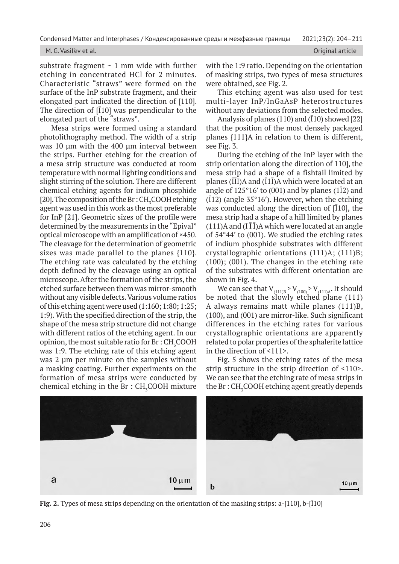### M. G. Vasil'ev et al. Original article

substrate fragment  $\sim$  1 mm wide with further etching in concentrated HCl for 2 minutes. Characteristic "straws" were formed on the surface of the InP substrate fragment, and their elongated part indicated the direction of [110]. The direction of [Ī10] was perpendicular to the elongated part of the "straws".

Mesa strips were formed using a standard photolithography method. The width of a strip was 10 µm with the 400 µm interval between the strips. Further etching for the creation of a mesa strip structure was conducted at room temperature with normal lighting conditions and slight stirring of the solution. There are different chemical etching agents for indium phosphide [20]. The composition of the Br :  $\text{CH}_3\text{COOH}$  etching agent was used in this work as the most preferable for InP [21]. Geometric sizes of the profile were determined by the measurements in the "Epival" optical microscope with an amplification of ×450. The cleavage for the determination of geometric sizes was made parallel to the planes  $\{110\}$ . The etching rate was calculated by the etching depth defined by the cleavage using an optical microscope. After the formation of the strips, the etched surface between them was mirror-smooth without any visible defects. Various volume ratios of this etching agent were used (1:160; 1:80; 1:25; 1:9). With the specified direction of the strip, the shape of the mesa strip structure did not change with different ratios of the etching agent. In our opinion, the most suitable ratio for  $\rm Br$  :  $\rm CH_{\rm \bar{3}}COOH$ was 1:9. The etching rate of this etching agent was 2 µm per minute on the samples without a masking coating. Further experiments on the formation of mesa strips were conducted by chemical etching in the  $Br : CH<sub>3</sub>COOH$  mixture with the 1:9 ratio. Depending on the orientation of masking strips, two types of mesa structures were obtained, see Fig. 2.

This etching agent was also used for test multi-layer InP/InGaAsP heterostructures without any deviations from the selected modes.

Analysis of planes (110) and ( $\overline{1}10$ ) showed [22] that the position of the most densely packaged planes {111}A in relation to them is different, see Fig. 3.

During the etching of the InP layer with the strip orientation along the direction of 110], the mesa strip had a shape of a fishtail limited by planes ( $\overline{II}I$ )A and ( $\overline{I}1\overline{I}$ )A which were located at an angle of  $125^{\circ}16'$  to (001) and by planes (1 $\overline{1}2$ ) and  $(12)$  (angle 35°16′). However, when the etching was conducted along the direction of [Ī10], the mesa strip had a shape of a hill limited by planes  $(111)$ A and  $(I\overline{I})$ A which were located at an angle of  $54^{\circ}44'$  to (001). We studied the etching rates of indium phosphide substrates with different crystallographic orientations (111)А; (111)В; (100); (001). The changes in the etching rate of the substrates with different orientation are shown in Fig. 4.

We can see that  $V_{(111)B} > V_{(100)} > V_{(111)A}$ . It should be noted that the slowly etched plane (111) А always remains matt while planes (111)В, (100), and (001) are mirror-like. Such significant differences in the etching rates for various crystallographic orientations are apparently related to polar properties of the sphalerite lattice in the direction of <111>.

Fig. 5 shows the etching rates of the mesa strip structure in the strip direction of <110>. We can see that the etching rate of mesa strips in the Br  $:$  CH $_{\rm 3}$ COOH etching agent greatly depends



**Fig. 2.** Types of mesa strips depending on the orientation of the masking strips: a-[110], b-[Ī10]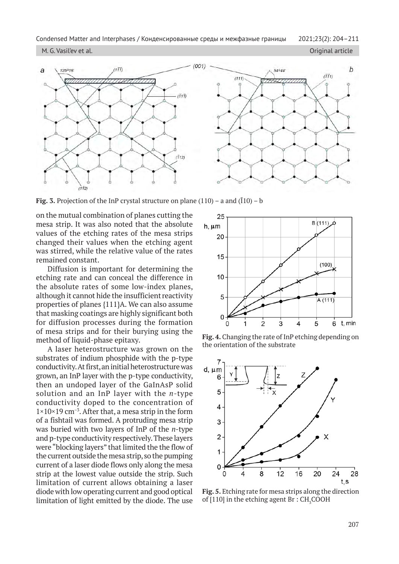M. G. Vasil'ev et al. Original article



**Fig. 3.** Projection of the InP crystal structure on plane  $(110)$  – a and  $(\overline{1}10)$  – b

on the mutual combination of planes cutting the mesa strip. It was also noted that the absolute values of the etching rates of the mesa strips changed their values when the etching agent was stirred, while the relative value of the rates remained constant.

Diffusion is important for determining the etching rate and can conceal the difference in the absolute rates of some low-index planes, although it cannot hide the insufficient reactivity properties of planes {111}A. We can also assume that masking coatings are highly significant both for diffusion processes during the formation of mesa strips and for their burying using the method of liquid-phase epitaxy.

A laser heterostructure was grown on the substrates of indium phosphide with the р-type conductivity. At first, an initial heterostructure was grown, an InP layer with the р-type conductivity, then an undoped layer of the GaInAsP solid solution and an InP layer with the *n*-type conductivity doped to the concentration of  $1\times10\times19$  cm<sup>-3</sup>. After that, a mesa strip in the form of a fishtail was formed. A protruding mesa strip was buried with two layers of InP of the *n*-type and р-type conductivity respectively. These layers were "blocking layers" that limited the the flow of the current outside the mesa strip, so the pumping current of a laser diode flows only along the mesa strip at the lowest value outside the strip. Such limitation of current allows obtaining a laser diode with low operating current and good optical limitation of light emitted by the diode. The use



**Fig. 4.** Changing the rate of InP etching depending on the orientation of the substrate



**Fig. 5.** Etching rate for mesa strips along the direction of [110] in the etching agent Br :  $\text{CH}_3\text{COOH}$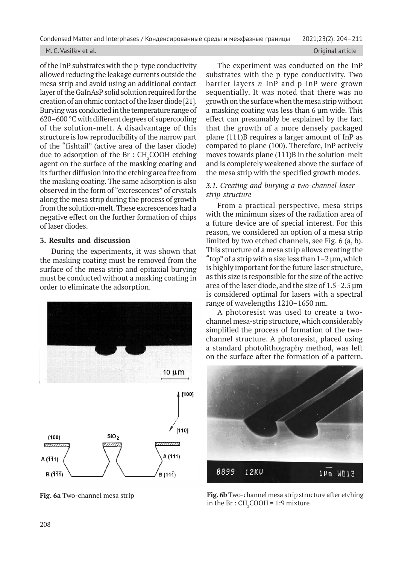### M. G. Vasil'ev et al. Original article

of the InP substrates with the р-type conductivity allowed reducing the leakage currents outside the mesa strip and avoid using an additional contact layer of the GaInAsP solid solution required for the creation of an ohmic contact of the laser diode [21]. Burying was conducted in the temperature range of 620–600 °С with different degrees of supercooling of the solution-melt. A disadvantage of this structure is low reproducibility of the narrow part of the "fishtail" (active area of the laser diode) due to adsorption of the Br  $:$  CH<sub>3</sub>COOH etching agent on the surface of the masking coating and its further diffusion into the etching area free from the masking coating. The same adsorption is also observed in the form of "excrescences" of crystals along the mesa strip during the process of growth from the solution-melt. These excrescences had a negative effect on the further formation of chips of laser diodes.

# **3. Results and discussion**

During the experiments, it was shown that the masking coating must be removed from the surface of the mesa strip and epitaxial burying must be conducted without a masking coating in order to eliminate the adsorption.



**Fig. 6a** Two-channel mesa strip

The experiment was conducted on the InP substrates with the р-type conductivity. Two barrier layers *n*-InP and р-InP were grown sequentially. It was noted that there was no growth on the surface when the mesa strip without a masking coating was less than 6 µm wide. This effect can presumably be explained by the fact that the growth of a more densely packaged plane (111)B requires a larger amount of InP as compared to plane (100). Therefore, InP actively moves towards plane (111)В in the solution-melt and is completely weakened above the surface of the mesa strip with the specified growth modes.

# *3.1. Creating and burying a two-channel laser strip structure*

From a practical perspective, mesa strips with the minimum sizes of the radiation area of a future device are of special interest. For this reason, we considered an option of a mesa strip limited by two etched channels, see Fig. 6 (a, b). This structure of a mesa strip allows creating the "top" of a strip with a size less than  $1-2 \mu m$ , which is highly important for the future laser structure, as this size is responsible for the size of the active area of the laser diode, and the size of 1.5–2.5 µm is considered optimal for lasers with a spectral range of wavelengths 1210–1650 nm.

A photoresist was used to create a twochannel mesa-strip structure, which considerably simplified the process of formation of the twochannel structure. A photoresist, placed using a standard photolithography method, was left on the surface after the formation of a pattern.



**Fig. 6b** Two-channel mesa strip structure after etching in the Br :  $CH_5COOH = 1:9$  mixture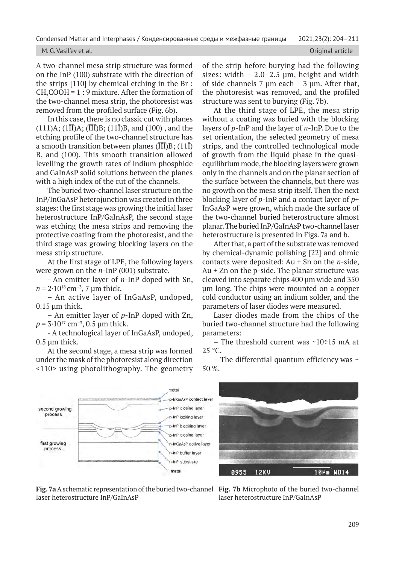### M. G. Vasil'ev et al. Original article

A two-channel mesa strip structure was formed on the InP (100) substrate with the direction of the strips [110] by chemical etching in the Br :  $CH<sub>3</sub>COOH = 1:9$  mixture. After the formation of the two-channel mesa strip, the photoresist was removed from the profiled surface (Fig. 6b).

In this case, there is no classic cut with planes  $(111)A; (1I\bar{I})A; (\bar{I}\bar{I}\bar{I})B; (11\bar{I})B$ , and  $(100)$ , and the etching profile of the two-channel structure has a smooth transition between planes ( $\overline{III}$ )B; (11 $\overline{I}$ ) В, and (100). This smooth transition allowed levelling the growth rates of indium phosphide and GaInAsP solid solutions between the planes with a high index of the cut of the channels.

The buried two-channel laser structure on the InP/InGaAsP heterojunction was created in three stages: the first stage was growing the initial laser heterostructure InP/GaInAsP, the second stage was etching the mesa strips and removing the protective coating from the photoresist, and the third stage was growing blocking layers on the mesa strip structure.

At the first stage of LPE, the following layers were grown on the *n*-InP (001) substrate.

- An emitter layer of *n-*InP doped with Sn,  $n = 2.10^{18}$  cm<sup>-3</sup>, 7 µm thick.

– An active layer of InGaAsP, undoped, 0.15 µm thick.

– An emitter layer of *p*-InP doped with Zn,  $p = 3.10^{17}$  cm<sup>-3</sup>, 0.5 µm thick.

- A technological layer of InGaAsP, undoped, 0.5 µm thick.

At the second stage, a mesa strip was formed under the mask of the photoresist along direction <110> using photolithography. The geometry of the strip before burying had the following sizes: width  $-2.0-2.5$  µm, height and width of side channels 7  $\mu$ m each – 3  $\mu$ m. After that, the photoresist was removed, and the profiled structure was sent to burying (Fig. 7b).

At the third stage of LPE, the mesa strip without a coating was buried with the blocking layers of *p*-InP and the layer of *n*-InP. Due to the set orientation, the selected geometry of mesa strips, and the controlled technological mode of growth from the liquid phase in the quasiequilibrium mode, the blocking layers were grown only in the channels and on the planar section of the surface between the channels, but there was no growth on the mesa strip itself. Then the next blocking layer of *p*-InP and a contact layer of *p*+ InGaAsP were grown, which made the surface of the two-channel buried heterostructure almost planar. The buried InP/GaInAsP two-channel laser heterostructure is presented in Figs. 7a and b.

After that, a part of the substrate was removed by chemical-dynamic polishing [22] and ohmic contacts were deposited: Au + Sn on the *n*-side, Au + Zn on the р-side. The planar structure was cleaved into separate chips 400 µm wide and 350 µm long. The chips were mounted on a copper cold conductor using an indium solder, and the parameters of laser diodes were measured.

Laser diodes made from the chips of the buried two-channel structure had the following parameters:

– The threshold current was  $\sim 10\div 15$  mA at 25 °C.

– The differential quantum efficiency was  $\sim$ 50 %.





**Fig. 7a** A schematic representation of the buried two-channel **Fig. 7b** Microphoto of the buried two-channel laser heterostructure InP/GaInAsP

laser heterostructure InP/GaInAsP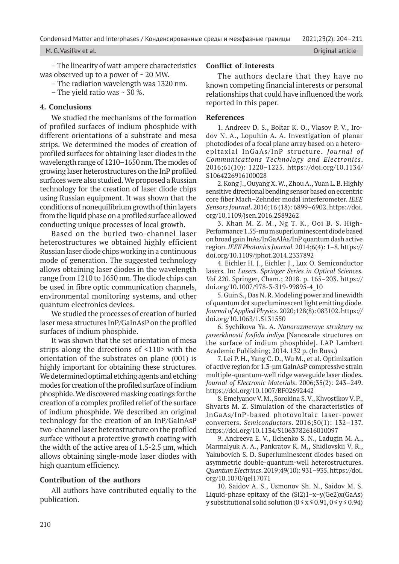### M. G. Vasil'ev et al. Original article

– The linearity of watt-ampere characteristics was observed up to a power of  $\sim$  20 MW.

– The radiation wavelength was 1320 nm.

– The yield ratio was  $\sim$  30 %.

# **4. Conclusions**

We studied the mechanisms of the formation of profiled surfaces of indium phosphide with different orientations of a substrate and mesa strips. We determined the modes of creation of profiled surfaces for obtaining laser diodes in the wavelength range of 1210–1650 nm. The modes of growing laser heterostructures on the InP profiled surfaces were also studied. We proposed a Russian technology for the creation of laser diode chips using Russian equipment. It was shown that the conditions of nonequilibrium growth of thin layers from the liquid phase on a profiled surface allowed conducting unique processes of local growth.

Based on the buried two-channel laser heterostructures we obtained highly efficient Russian laser diode chips working in a continuous mode of generation. The suggested technology allows obtaining laser diodes in the wavelength range from 1210 to 1650 nm. The diode chips can be used in fibre optic communication channels, environmental monitoring systems, and other quantum electronics devices.

We studied the processes of creation of buried laser mesa structures InP/GaInAsP on the profiled surfaces of indium phosphide.

It was shown that the set orientation of mesa strips along the directions of <110> with the orientation of the substrates on plane (001) is highly important for obtaining these structures. We determined optimal etching agents and etching modes for creation of the profiled surface of indium phosphide. We discovered masking coatings for the creation of a complex profiled relief of the surface of indium phosphide. We described an original technology for the creation of an InP/GaInAsP two-channel laser heterostructure on the profiled surface without a protective growth coating with the width of the active area of 1.5-2.5 µm, which allows obtaining single-mode laser diodes with high quantum efficiency.

# **Contribution of the authors**

All authors have contributed equally to the publication.

# **Conflict of interests**

The authors declare that they have no known competing financial interests or personal relationships that could have influenced the work reported in this paper.

### **References**

1. Andreev D. S., Boltar K. O., Vlasov P. V., Irodov N. A., Lopuhin A. A. Investigation of planar photodiodes of a focal plane array based on a heteroepitaxial InGaAs/InP structure. *Journal of Communications Technology and Electronics*. 2016;61(10): 1220–1225. https://doi.org/10.1134/ S1064226916100028

2. Kong J., Ouyang X. W., Zhou A., Yuan L. B. Highly sensitive directional bending sensor based on eccentric core fiber Mach–Zehnder modal interferometer. *IEEE Sensors Journal***.** 2016;16 (18): 6899–6902. https://doi. org/10.1109/jsen.2016.2589262

3. Khan M. Z. M., Ng T. K., Ooi B. S. High-Performance 1.55-mu m superluminescent diode based on broad gain InAs/InGaAlAs/InP quantum dash active region. *IEEE Photonics Journal.* 2014;6(4): 1–8. https:// doi.org/10.1109/jphot.2014.2337892

4. Eichler H. J., Eichler J., Lux O. Semiconductor lasers*.* In: *Lasers. Springer Series in Optical Sciences. Vol 220*. Springer, Cham.; 2018. p. 165–203. https:// doi.org/10.1007/978-3-319-99895-4\_10

5. Guin S., Das N. R. Modeling power and linewidth of quantum dot superluminescent light emitting diode. *Journal of Applied Physics*. 2020;128(8): 083102. https:// doi.org/10.1063/1.5131550

6. Sychikova Ya. A. *Nanorazmernye struktury na poverkhnosti fosfida indiya* [Nanoscale structures on the surface of indium phosphide]. LAP Lambert Academic Publishing; 2014. 132 p. (In Russ.)

7. Lei P. H., Yang C. D., Wu M., et al. Optimization of active region for 1.3-µm GalnAsP compressive strain multiple-quantum-well ridge waveguide laser diodes. *Journal of Electronic Materials*. 2006;35(2): 243–249. https://doi.org/10.1007/BF02692442

8. Emelyanov V. M., Sorokina S. V., Khvostikov V. P., Shvarts M. Z. Simulation of the characteristics of InGaAs/InP-based photovoltaic laser-power converters. *Semiconductors*. 2016;50(1): 132–137. https://doi.org/10.1134/S1063782616010097

9. Andreeva E. V., Ilchenko S. N., Ladugin M. A., Marmalyuk A. A., Pankratov K. M., Shidlovskii V. R., Yakubovich S. D. Superluminescent diodes based on asymmetric double-quantum-well heterostructures. *Quantum Electrincs*. 2019;49(10): 931–935. https://doi. org/10.1070/qel17071

10. Saidov A. S., Usmonov Sh. N., Saidov M. S. Liquid-phase epitaxy of the (Si2)1−x−y(Ge2)x(GaAs) y substitutional solid solution ( $0 \le x \le 0.91$ ,  $0 \le y \le 0.94$ )